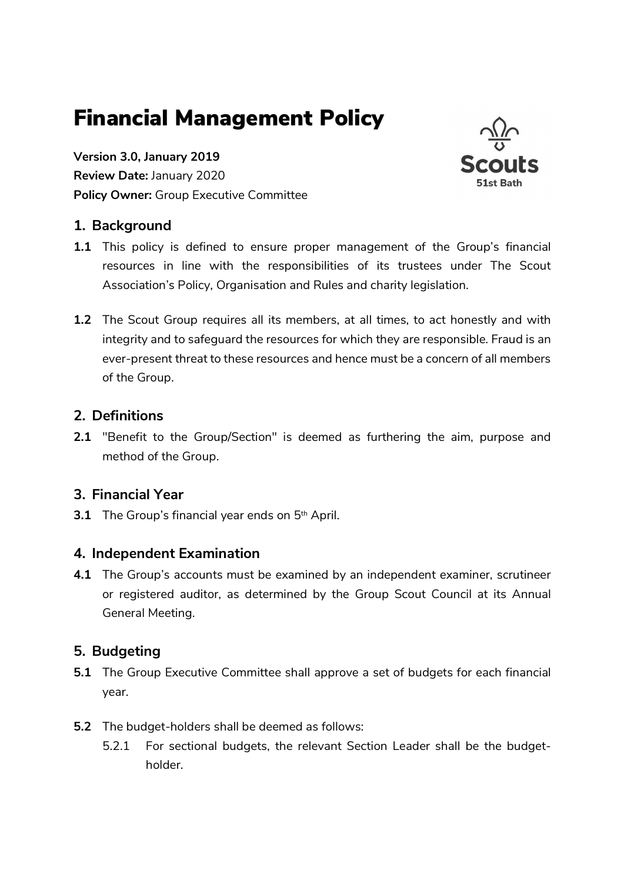# Financial Management Policy

Version 3.0, January 2019 Review Date: January 2020 Policy Owner: Group Executive Committee



## 1. Background

- 1.1 This policy is defined to ensure proper management of the Group's financial resources in line with the responsibilities of its trustees under The Scout Association's Policy, Organisation and Rules and charity legislation.
- 1.2 The Scout Group requires all its members, at all times, to act honestly and with integrity and to safeguard the resources for which they are responsible. Fraud is an ever-present threat to these resources and hence must be a concern of all members of the Group.

#### 2. Definitions

2.1 "Benefit to the Group/Section" is deemed as furthering the aim, purpose and method of the Group.

#### 3. Financial Year

**3.1** The Group's financial year ends on  $5<sup>th</sup>$  April.

#### 4. Independent Examination

4.1 The Group's accounts must be examined by an independent examiner, scrutineer or registered auditor, as determined by the Group Scout Council at its Annual General Meeting.

## 5. Budgeting

- 5.1 The Group Executive Committee shall approve a set of budgets for each financial year.
- 5.2 The budget-holders shall be deemed as follows:
	- 5.2.1 For sectional budgets, the relevant Section Leader shall be the budgetholder.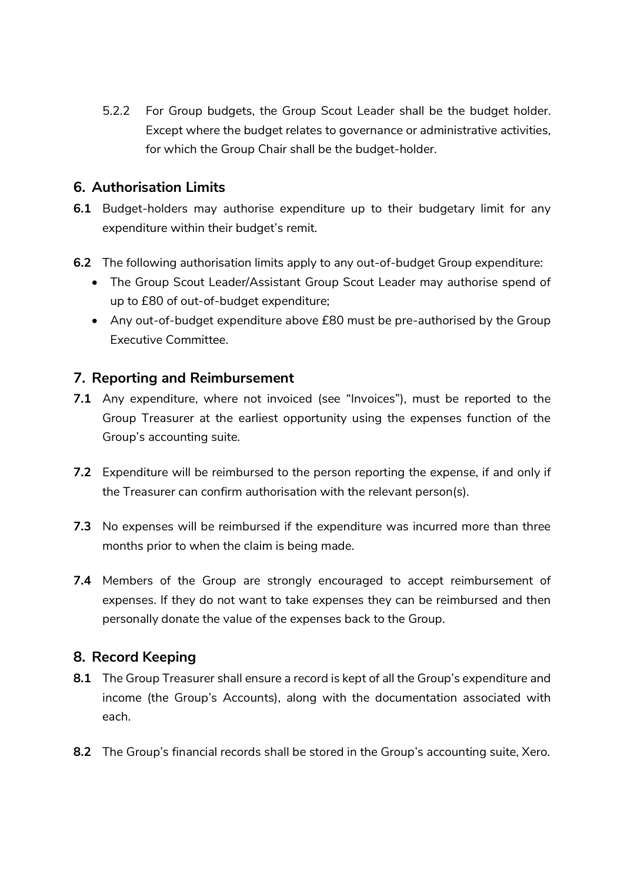5.2.2 For Group budgets, the Group Scout Leader shall be the budget holder. Except where the budget relates to governance or administrative activities, for which the Group Chair shall be the budget-holder.

## 6. Authorisation Limits

- 6.1 Budget-holders may authorise expenditure up to their budgetary limit for any expenditure within their budget's remit.
- 6.2 The following authorisation limits apply to any out-of-budget Group expenditure:
	- The Group Scout Leader/Assistant Group Scout Leader may authorise spend of up to £80 of out-of-budget expenditure;
	- Any out-of-budget expenditure above £80 must be pre-authorised by the Group Executive Committee.

## 7. Reporting and Reimbursement

- 7.1 Any expenditure, where not invoiced (see "Invoices"), must be reported to the Group Treasurer at the earliest opportunity using the expenses function of the Group's accounting suite.
- 7.2 Expenditure will be reimbursed to the person reporting the expense, if and only if the Treasurer can confirm authorisation with the relevant person(s).
- 7.3 No expenses will be reimbursed if the expenditure was incurred more than three months prior to when the claim is being made.
- 7.4 Members of the Group are strongly encouraged to accept reimbursement of expenses. If they do not want to take expenses they can be reimbursed and then personally donate the value of the expenses back to the Group.

## 8. Record Keeping

- 8.1 The Group Treasurer shall ensure a record is kept of all the Group's expenditure and income (the Group's Accounts), along with the documentation associated with each.
- 8.2 The Group's financial records shall be stored in the Group's accounting suite, Xero.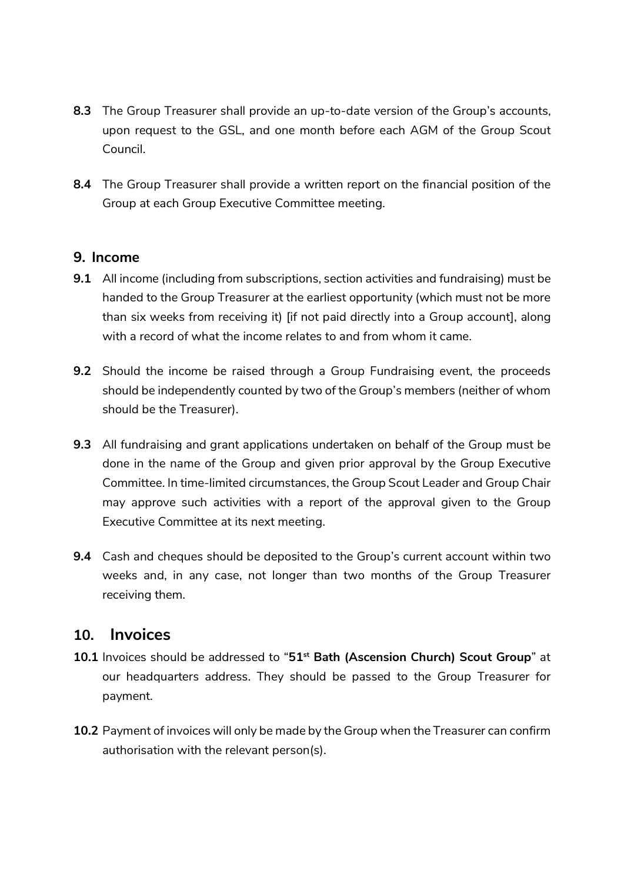- 8.3 The Group Treasurer shall provide an up-to-date version of the Group's accounts, upon request to the GSL, and one month before each AGM of the Group Scout Council.
- 8.4 The Group Treasurer shall provide a written report on the financial position of the Group at each Group Executive Committee meeting.

#### 9. Income

- 9.1 All income (including from subscriptions, section activities and fundraising) must be handed to the Group Treasurer at the earliest opportunity (which must not be more than six weeks from receiving it) [if not paid directly into a Group account], along with a record of what the income relates to and from whom it came.
- **9.2** Should the income be raised through a Group Fundraising event, the proceeds should be independently counted by two of the Group's members (neither of whom should be the Treasurer).
- 9.3 All fundraising and grant applications undertaken on behalf of the Group must be done in the name of the Group and given prior approval by the Group Executive Committee. In time-limited circumstances, the Group Scout Leader and Group Chair may approve such activities with a report of the approval given to the Group Executive Committee at its next meeting.
- 9.4 Cash and cheques should be deposited to the Group's current account within two weeks and, in any case, not longer than two months of the Group Treasurer receiving them.

## 10. Invoices

- 10.1 Invoices should be addressed to "51<sup>st</sup> Bath (Ascension Church) Scout Group" at our headquarters address. They should be passed to the Group Treasurer for payment.
- 10.2 Payment of invoices will only be made by the Group when the Treasurer can confirm authorisation with the relevant person(s).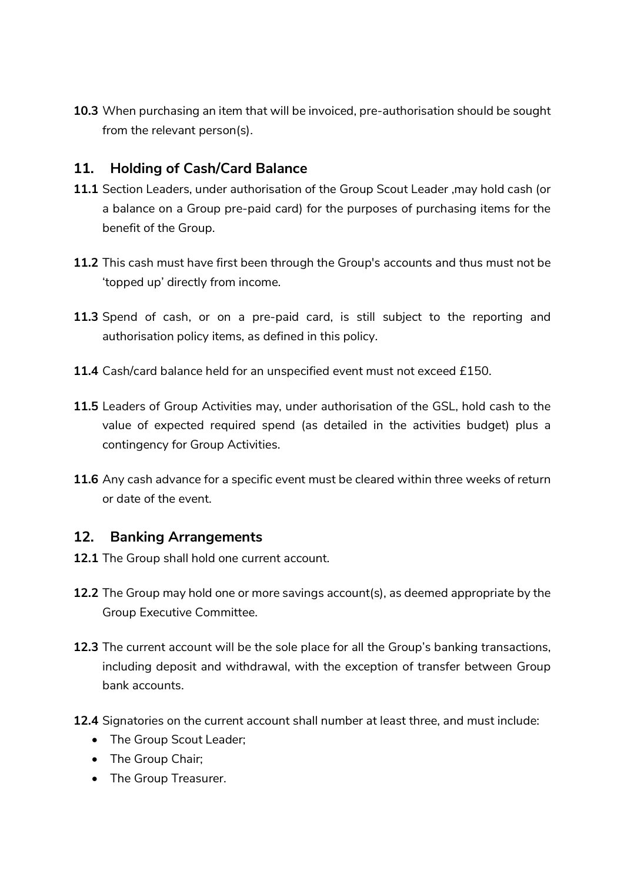10.3 When purchasing an item that will be invoiced, pre-authorisation should be sought from the relevant person(s).

## 11. Holding of Cash/Card Balance

- 11.1 Section Leaders, under authorisation of the Group Scout Leader, may hold cash (or a balance on a Group pre-paid card) for the purposes of purchasing items for the benefit of the Group.
- 11.2 This cash must have first been through the Group's accounts and thus must not be 'topped up' directly from income.
- 11.3 Spend of cash, or on a pre-paid card, is still subject to the reporting and authorisation policy items, as defined in this policy.
- 11.4 Cash/card balance held for an unspecified event must not exceed £150.
- 11.5 Leaders of Group Activities may, under authorisation of the GSL, hold cash to the value of expected required spend (as detailed in the activities budget) plus a contingency for Group Activities.
- **11.6** Any cash advance for a specific event must be cleared within three weeks of return or date of the event.

## 12. Banking Arrangements

- 12.1 The Group shall hold one current account.
- 12.2 The Group may hold one or more savings account(s), as deemed appropriate by the Group Executive Committee.
- 12.3 The current account will be the sole place for all the Group's banking transactions, including deposit and withdrawal, with the exception of transfer between Group bank accounts.
- 12.4 Signatories on the current account shall number at least three, and must include:
	- The Group Scout Leader;
	- The Group Chair;
	- The Group Treasurer.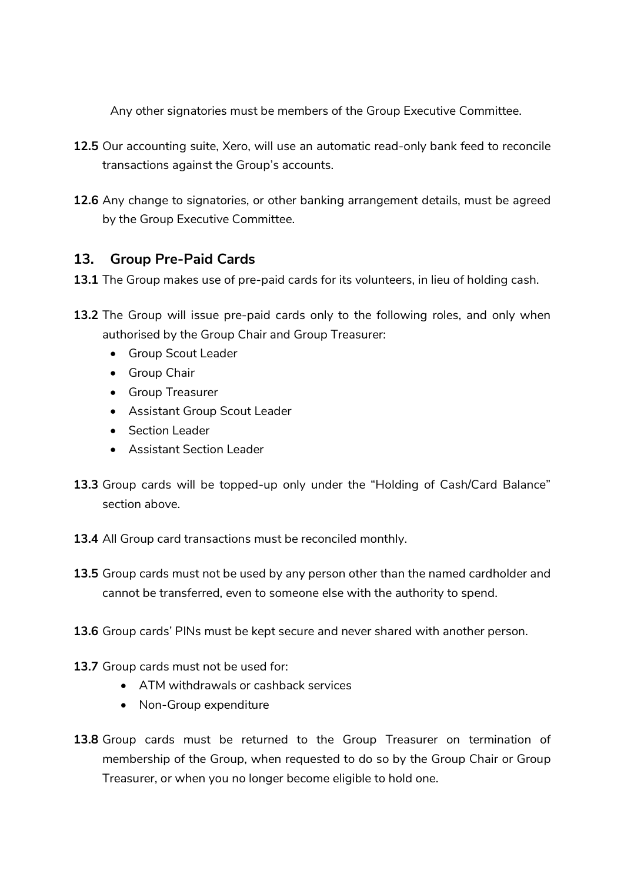Any other signatories must be members of the Group Executive Committee.

- 12.5 Our accounting suite, Xero, will use an automatic read-only bank feed to reconcile transactions against the Group's accounts.
- 12.6 Any change to signatories, or other banking arrangement details, must be agreed by the Group Executive Committee.

## 13. Group Pre-Paid Cards

- 13.1 The Group makes use of pre-paid cards for its volunteers, in lieu of holding cash.
- 13.2 The Group will issue pre-paid cards only to the following roles, and only when authorised by the Group Chair and Group Treasurer:
	- Group Scout Leader
	- **•** Group Chair
	- **•** Group Treasurer
	- Assistant Group Scout Leader
	- Section Leader
	- Assistant Section Leader
- 13.3 Group cards will be topped-up only under the "Holding of Cash/Card Balance" section above.
- 13.4 All Group card transactions must be reconciled monthly.
- 13.5 Group cards must not be used by any person other than the named cardholder and cannot be transferred, even to someone else with the authority to spend.
- 13.6 Group cards' PINs must be kept secure and never shared with another person.
- 13.7 Group cards must not be used for:
	- ATM withdrawals or cashback services
	- Non-Group expenditure
- 13.8 Group cards must be returned to the Group Treasurer on termination of membership of the Group, when requested to do so by the Group Chair or Group Treasurer, or when you no longer become eligible to hold one.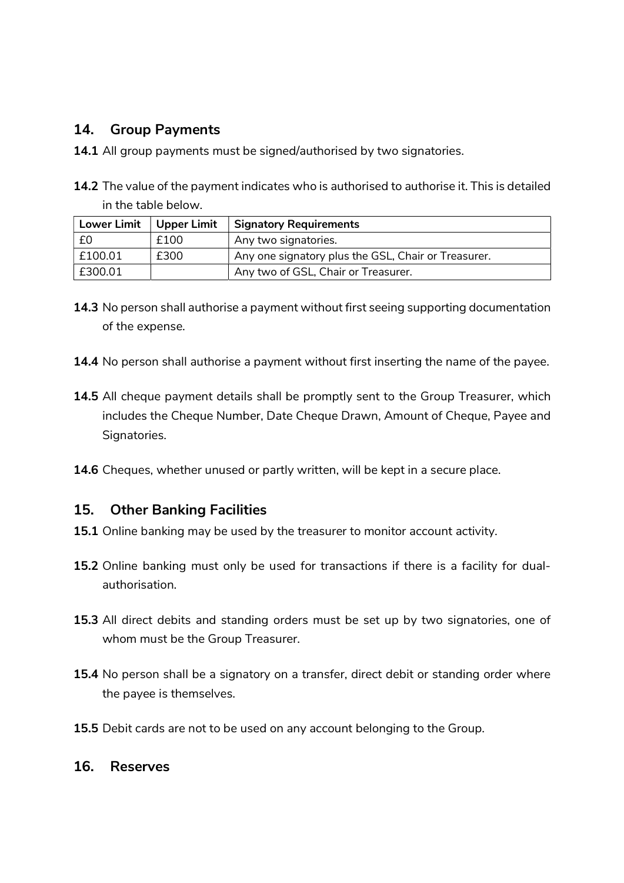#### 14. Group Payments

- 14.1 All group payments must be signed/authorised by two signatories.
- 14.2 The value of the payment indicates who is authorised to authorise it. This is detailed in the table below.

| <b>Lower Limit</b> | Upper Limit | <b>Signatory Requirements</b>                       |
|--------------------|-------------|-----------------------------------------------------|
| £0                 | £100        | Any two signatories.                                |
| £100.01            | £300        | Any one signatory plus the GSL, Chair or Treasurer. |
| £300.01            |             | Any two of GSL, Chair or Treasurer.                 |

- 14.3 No person shall authorise a payment without first seeing supporting documentation of the expense.
- 14.4 No person shall authorise a payment without first inserting the name of the payee.
- 14.5 All cheque payment details shall be promptly sent to the Group Treasurer, which includes the Cheque Number, Date Cheque Drawn, Amount of Cheque, Payee and Signatories.
- 14.6 Cheques, whether unused or partly written, will be kept in a secure place.

#### 15. Other Banking Facilities

- 15.1 Online banking may be used by the treasurer to monitor account activity.
- 15.2 Online banking must only be used for transactions if there is a facility for dualauthorisation.
- 15.3 All direct debits and standing orders must be set up by two signatories, one of whom must be the Group Treasurer.
- 15.4 No person shall be a signatory on a transfer, direct debit or standing order where the payee is themselves.
- 15.5 Debit cards are not to be used on any account belonging to the Group.

#### 16. Reserves